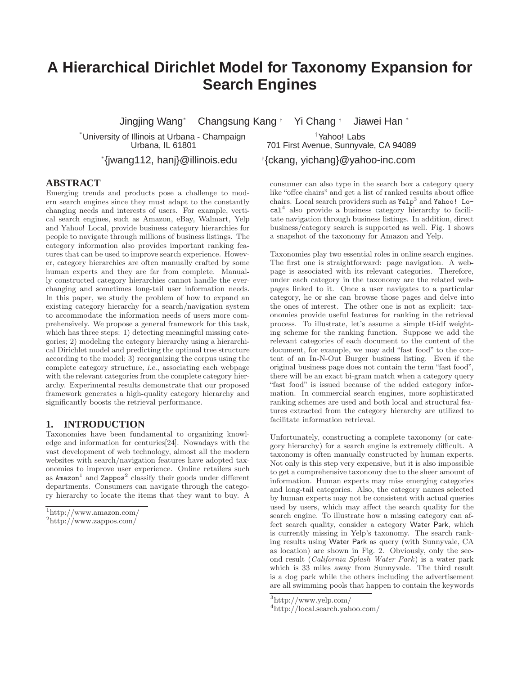# **A Hierarchical Dirichlet Model for Taxonomy Expansion for Search Engines**

Jingjing Wang\* Changsung Kang † Yi Chang † Jiawei Han \*

\*University of Illinois at Urbana - Champaign †Yahoo! Labs

\* {jwang112, hanj}@illinois.edu †

### **ABSTRACT**

Emerging trends and products pose a challenge to modern search engines since they must adapt to the constantly changing needs and interests of users. For example, vertical search engines, such as Amazon, eBay, Walmart, Yelp and Yahoo! Local, provide business category hierarchies for people to navigate through millions of business listings. The category information also provides important ranking features that can be used to improve search experience. However, category hierarchies are often manually crafted by some human experts and they are far from complete. Manually constructed category hierarchies cannot handle the everchanging and sometimes long-tail user information needs. In this paper, we study the problem of how to expand an existing category hierarchy for a search/navigation system to accommodate the information needs of users more comprehensively. We propose a general framework for this task, which has three steps: 1) detecting meaningful missing categories; 2) modeling the category hierarchy using a hierarchical Dirichlet model and predicting the optimal tree structure according to the model; 3) reorganizing the corpus using the complete category structure, i.e., associating each webpage with the relevant categories from the complete category hierarchy. Experimental results demonstrate that our proposed framework generates a high-quality category hierarchy and significantly boosts the retrieval performance.

### **1. INTRODUCTION**

Taxonomies have been fundamental to organizing knowledge and information for centuries[24]. Nowadays with the vast development of web technology, almost all the modern websites with search/navigation features have adopted taxonomies to improve user experience. Online retailers such as  $\texttt{Amazon}^1$  and  $\texttt{Zappos}^2$  classify their goods under different departments. Consumers can navigate through the category hierarchy to locate the items that they want to buy. A

701 First Avenue, Sunnyvale, CA 94089 {ckang, yichang}@yahoo-inc.com

consumer can also type in the search box a category query like "offce chairs" and get a list of ranked results about office chairs. Local search providers such as  $\texttt{Yelp}^3$  and  $\texttt{Yaho}!$  Local<sup>4</sup> also provide a business category hierarchy to facilitate navigation through business listings. In addition, direct business/category search is supported as well. Fig. 1 shows a snapshot of the taxonomy for Amazon and Yelp.

Taxonomies play two essential roles in online search engines. The first one is straightforward: page navigation. A webpage is associated with its relevant categories. Therefore, under each category in the taxonomy are the related webpages linked to it. Once a user navigates to a particular category, he or she can browse those pages and delve into the ones of interest. The other one is not as explicit: taxonomies provide useful features for ranking in the retrieval process. To illustrate, let's assume a simple tf-idf weighting scheme for the ranking function. Suppose we add the relevant categories of each document to the content of the document, for example, we may add "fast food" to the content of an In-N-Out Burger business listing. Even if the original business page does not contain the term "fast food", there will be an exact bi-gram match when a category query "fast food" is issued because of the added category information. In commercial search engines, more sophisticated ranking schemes are used and both local and structural features extracted from the category hierarchy are utilized to facilitate information retrieval.

Unfortunately, constructing a complete taxonomy (or category hierarchy) for a search engine is extremely difficult. A taxonomy is often manually constructed by human experts. Not only is this step very expensive, but it is also impossible to get a comprehensive taxonomy due to the sheer amount of information. Human experts may miss emerging categories and long-tail categories. Also, the category names selected by human experts may not be consistent with actual queries used by users, which may affect the search quality for the search engine. To illustrate how a missing category can affect search quality, consider a category Water Park, which is currently missing in Yelp's taxonomy. The search ranking results using Water Park as query (with Sunnyvale, CA as location) are shown in Fig. 2. Obviously, only the second result (California Splash Water Park) is a water park which is 33 miles away from Sunnyvale. The third result is a dog park while the others including the advertisement are all swimming pools that happen to contain the keywords

<sup>1</sup> http://www.amazon.com/

<sup>2</sup> http://www.zappos.com/

<sup>3</sup> http://www.yelp.com/

<sup>4</sup> http://local.search.yahoo.com/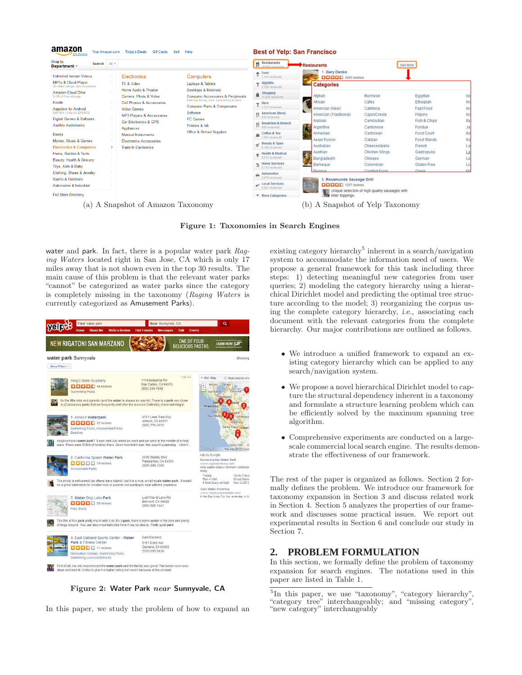| Shop by<br>$All =$<br><b>Search</b><br>Department -                                                                                                                                                                                                                                                                                                                                               |                                                                                                                                                                                                                                                                                              |                                                                                                                                                                                                                                                                         | <b>TI</b> Restaurants                                                                                                                                                                                                                                                                                                                                        | <b>Restaurants</b>                                                                                                                                                                                                       |                                                                                                                                                                                 | See More                                                                                                                                                               |                                                                  |
|---------------------------------------------------------------------------------------------------------------------------------------------------------------------------------------------------------------------------------------------------------------------------------------------------------------------------------------------------------------------------------------------------|----------------------------------------------------------------------------------------------------------------------------------------------------------------------------------------------------------------------------------------------------------------------------------------------|-------------------------------------------------------------------------------------------------------------------------------------------------------------------------------------------------------------------------------------------------------------------------|--------------------------------------------------------------------------------------------------------------------------------------------------------------------------------------------------------------------------------------------------------------------------------------------------------------------------------------------------------------|--------------------------------------------------------------------------------------------------------------------------------------------------------------------------------------------------------------------------|---------------------------------------------------------------------------------------------------------------------------------------------------------------------------------|------------------------------------------------------------------------------------------------------------------------------------------------------------------------|------------------------------------------------------------------|
| <b>Unlimited Instant Videos</b>                                                                                                                                                                                                                                                                                                                                                                   | Electronics                                                                                                                                                                                                                                                                                  | <b>Computers</b>                                                                                                                                                                                                                                                        | <b>A</b> Food<br>7.474 reviewed                                                                                                                                                                                                                                                                                                                              | <b>Gary Danko</b><br><b>DEEE</b> 3485 reviews                                                                                                                                                                            |                                                                                                                                                                                 |                                                                                                                                                                        |                                                                  |
| MP3s & Cloud Player<br>20 million songs, play anywhere<br><b>Amazon Cloud Drive</b><br>5 GB of free storage<br>Kindle<br><b>Appstore for Android</b><br>Get FIFA 14 by EA SPORTS<br>Digital Games & Software<br><b>Audible Audiobooks</b><br><b>Books</b><br>Movies, Music & Games<br><b>Electronics &amp; Computers</b><br>Home, Garden & Tools<br>Beauty, Health & Grocery<br>Toys, Kids & Baby | TV & Video<br>Home Audio & Theater<br>Camera, Photo & Video<br>Cell Phones & Accessories<br><b>Video Games</b><br><b>MP3 Players &amp; Accessories</b><br>Car Electronics & GPS<br>Appliances<br><b>Musical Instruments</b><br><b>Electronics Accessories</b><br><b>Trade In Electronics</b> | Laptops & Tablets<br><b>Desktops &amp; Monitors</b><br><b>Computer Accessories &amp; Peripherals</b><br>External drives, mice, networking & more<br><b>Computer Parts &amp; Components</b><br>Software<br><b>PC</b> Games<br>Printers & Ink<br>Office & School Supplies | - Nightlife<br>2.536 reviewed<br>Shopping<br>11.438 reviewed<br>$\sqrt{P}$ Bars<br>1,513 reviewed<br>uj American (New)<br>11 810 reviewed<br><b>Breakfast &amp; Brunch</b><br>459 reviewed<br>Coffee & Tea<br>824 reviewed<br>Beauty & Spas<br>6.168 reviewed<br><b>Health &amp; Medical</b><br>8.513 reviewed<br><b>The Mome Services</b><br>8,133 reviewed | <b>Categories</b><br>Afghan<br>æ.<br>African<br>American (New)<br>American (Traditional)<br>Arabian<br>75<br>Argentine<br>Armenian<br><b>Asian Fusion</b><br>Australian<br>Austrian<br>Bangladeshi<br>Barbegue<br>Raegue | <b>Burmese</b><br>Cafes<br>Cafeteria<br>Caiun/Creole<br>Cambodian<br>Cantonese<br>Caribbean<br>Catalan<br>Cheesesteaks<br>Chicken Wings<br>Chinese<br>Colombian<br>Comfort Food | Egyptian<br>Ethiopian<br>Fast Food<br>Filipino<br>Fish & Chips<br>Fondue<br>Food Court<br><b>Food Stands</b><br>French<br>Gastropubs<br>German<br>Gluten-Free<br>Greek | lbe<br>Ino<br>In (<br>lris<br>Ita<br>Ja<br>Ko<br>Ko<br><u>La</u> |
| Clothing, Shoes & Jewelry<br>Sports & Outdoors<br>Automotive & Industrial                                                                                                                                                                                                                                                                                                                         |                                                                                                                                                                                                                                                                                              |                                                                                                                                                                                                                                                                         | Automotive<br>3.076 reviewed<br>Local Services<br>4.927 reviewed                                                                                                                                                                                                                                                                                             | 5. Rosamunde Sausage Grill<br>E.IE<br>$\Box$ $\Box$ $\Box$ $\Box$ 1357 reviews<br>Unique selection of high quality sausages with                                                                                         |                                                                                                                                                                                 |                                                                                                                                                                        |                                                                  |
| <b>Full Store Directory</b>                                                                                                                                                                                                                                                                                                                                                                       |                                                                                                                                                                                                                                                                                              |                                                                                                                                                                                                                                                                         | ▼ More Categories                                                                                                                                                                                                                                                                                                                                            | killer toppings.                                                                                                                                                                                                         |                                                                                                                                                                                 |                                                                                                                                                                        |                                                                  |

Figure 1: Taxonomies in Search Engines

water and park. In fact, there is a popular water park Raging Waters located right in San Jose, CA which is only 17 miles away that is not shown even in the top 30 results. The main cause of this problem is that the relevant water parks "cannot" be categorized as water parks since the category is completely missing in the taxonomy (Raging Waters is currently categorized as Amusement Parks).



Figure 2: Water Park near Sunnyvale, CA

In this paper, we study the problem of how to expand an

existing category hierarchy<sup>5</sup> inherent in a search/navigation system to accommodate the information need of users. We propose a general framework for this task including three steps: 1) detecting meaningful new categories from user queries; 2) modeling the category hierarchy using a hierarchical Dirichlet model and predicting the optimal tree structure according to the model; 3) reorganizing the corpus using the complete category hierarchy, i.e., associating each document with the relevant categories from the complete hierarchy. Our major contributions are outlined as follows.

- We introduce a unified framework to expand an existing category hierarchy which can be applied to any search/navigation system.
- We propose a novel hierarchical Dirichlet model to capture the structural dependency inherent in a taxonomy and formulate a structure learning problem which can be efficiently solved by the maximum spanning tree algorithm.
- Comprehensive experiments are conducted on a largescale commercial local search engine. The results demonstrate the effectiveness of our framework.

The rest of the paper is organized as follows. Section 2 formally defines the problem. We introduce our framework for taxonomy expansion in Section 3 and discuss related work in Section 4. Section 5 analyzes the properties of our framework and discusses some practical issues. We report out experimental results in Section 6 and conclude our study in Section 7.

### **2. PROBLEM FORMULATION**

In this section, we formally define the problem of taxonomy expansion for search engines. The notations used in this paper are listed in Table 1.

<sup>&</sup>lt;sup>5</sup>In this paper, we use "taxonomy", "category hierarchy", "category tree" interchangeably; and "missing category", "new category" interchangeably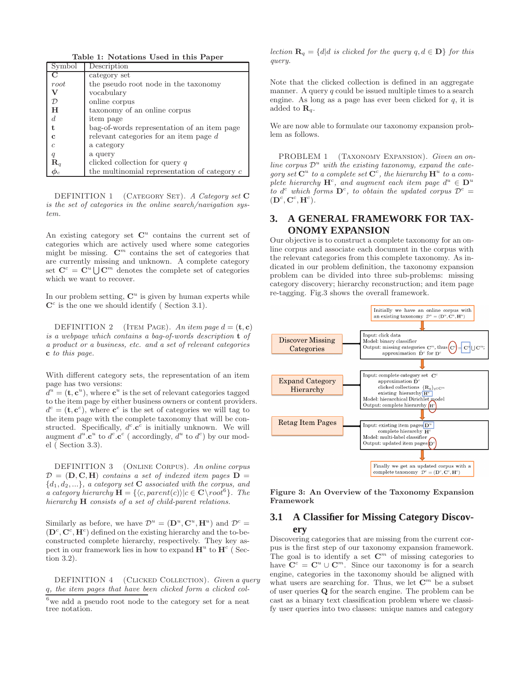Table 1: Notations Used in this Paper

| Symbol           | Description                                    |  |  |
|------------------|------------------------------------------------|--|--|
|                  | category set                                   |  |  |
| root             | the pseudo root node in the taxonomy           |  |  |
| V                | vocabulary                                     |  |  |
| $\mathcal{D}$    | online corpus                                  |  |  |
| H                | taxonomy of an online corpus                   |  |  |
| $\boldsymbol{d}$ | item page                                      |  |  |
| t.               | bag-of-words representation of an item page    |  |  |
| $\mathbf c$      | relevant categories for an item page $d$       |  |  |
| $\overline{c}$   | a category                                     |  |  |
| q                | a query                                        |  |  |
| $\mathbf{R}_q$   | clicked collection for query $q$               |  |  |
|                  | the multinomial representation of category $c$ |  |  |

DEFINITION 1 (CATEGORY SET). A Category set C is the set of categories in the online search/navigation system.

An existing category set  $\mathbb{C}^u$  contains the current set of categories which are actively used where some categories might be missing.  $\mathbb{C}^m$  contains the set of categories that are currently missing and unknown. A complete category set  $\mathbf{C}^c = \mathbf{C}^u \bigcup \mathbf{C}^m$  denotes the complete set of categories which we want to recover.

In our problem setting,  $\mathbb{C}^u$  is given by human experts while  $\mathbf{C}^c$  is the one we should identify (Section 3.1).

DEFINITION 2 (ITEM PAGE). An item page  $d = (\mathbf{t}, \mathbf{c})$ is a webpage which contains a bag-of-words description t of a product or a business, etc. and a set of relevant categories c to this page.

With different category sets, the representation of an item page has two versions:

 $\overline{d^u} = (\mathbf{t}, \mathbf{c}^u)$ , where  $\mathbf{c}^u$  is the set of relevant categories tagged to the item page by either business owners or content providers.  $d^c = (\mathbf{t}, \mathbf{c}^c)$ , where  $\mathbf{c}^c$  is the set of categories we will tag to the item page with the complete taxonomy that will be constructed. Specifically,  $d^c \textbf{.} \textbf{c}^c$  is initially unknown. We will augment  $d^u \cdot \mathbf{c}^u$  to  $d^c \cdot \mathbf{c}^c$  (accordingly,  $d^u$  to  $d^c$ ) by our model ( Section 3.3).

DEFINITION 3 (Online Corpus). An online corpus  $D = (D, C, H)$  contains a set of indexed item pages  $D =$  ${d_1, d_2, \ldots}$ , a category set **C** associated with the corpus, and a category hierarchy  $\mathbf{H} = \{ \langle c, parent(c) \rangle | c \in \mathbf{C} \setminus root^6 \}.$  The hierarchy **H** consists of a set of child-parent relations.

Similarly as before, we have  $\mathcal{D}^u = (\mathbf{D}^u, \mathbf{C}^u, \mathbf{H}^u)$  and  $\mathcal{D}^c =$  $(D<sup>c</sup>, C<sup>c</sup>, H<sup>c</sup>)$  defined on the existing hierarchy and the to-beconstructed complete hierarchy, respectively. They key aspect in our framework lies in how to expand  $\mathbf{H}^u$  to  $\mathbf{H}^c$  (Section 3.2).

DEFINITION 4 (CLICKED COLLECTION). Given a query q, the item pages that have been clicked form a clicked col-

 $^6\rm{we}$  add a pseudo root node to the category set for a neat tree notation.

lection  $\mathbf{R}_q = \{d | d \text{ is clicked for the query } q, d \in \mathbf{D} \}$  for this query.

Note that the clicked collection is defined in an aggregate manner. A query  $q$  could be issued multiple times to a search engine. As long as a page has ever been clicked for  $q$ , it is added to  $\mathbf{R}_q$ .

We are now able to formulate our taxonomy expansion problem as follows.

PROBLEM 1 (TAXONOMY EXPANSION). Given an online corpus  $\mathcal{D}^u$  with the existing taxonomy, expand the category set  $\mathbf{C}^u$  to a complete set  $\mathbf{C}^c$ , the hierarchy  $\mathbf{H}^u$  to a complete hierarchy  $\mathbf{H}^c$ , and augment each item page  $d^u \in \mathbf{D}^u$ to d<sup>c</sup> which forms  $\mathbf{D}^c$ , to obtain the updated corpus  $\mathcal{D}^c$  =  $(\mathbf{D}^c, \mathbf{C}^c, \mathbf{H}^c).$ 

# **3. A GENERAL FRAMEWORK FOR TAX-ONOMY EXPANSION**

Our objective is to construct a complete taxonomy for an online corpus and associate each document in the corpus with the relevant categories from this complete taxonomy. As indicated in our problem definition, the taxonomy expansion problem can be divided into three sub-problems: missing category discovery; hierarchy reconstruction; and item page re-tagging. Fig.3 shows the overall framework.



Figure 3: An Overview of the Taxonomy Expansion Framework

# **3.1 A Classifier for Missing Category Discovery**

Discovering categories that are missing from the current corpus is the first step of our taxonomy expansion framework. The goal is to identify a set  $\mathbb{C}^m$  of missing categories to have  $\mathbf{C}^c = \mathbf{C}^u \cup \mathbf{C}^m$ . Since our taxonomy is for a search engine, categories in the taxonomy should be aligned with what users are searching for. Thus, we let  $\mathbb{C}^m$  be a subset of user queries Q for the search engine. The problem can be cast as a binary text classification problem where we classify user queries into two classes: unique names and category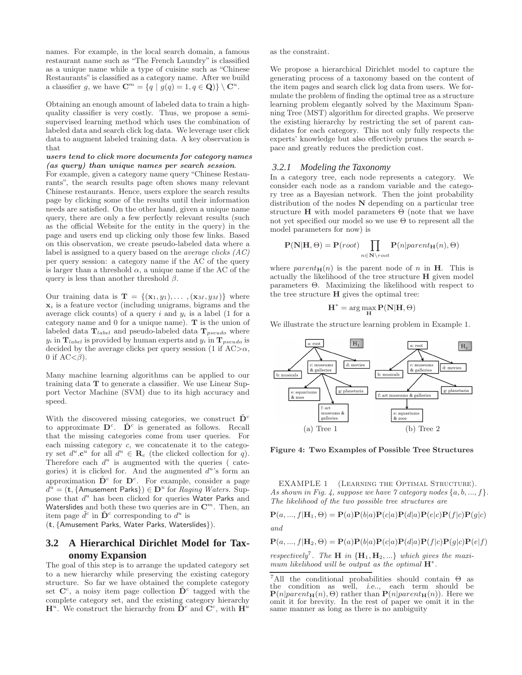names. For example, in the local search domain, a famous restaurant name such as "The French Laundry" is classified as a unique name while a type of cuisine such as "Chinese Restaurants" is classified as a category name. After we build a classifier g, we have  $\mathbf{C}^m = \{q \mid g(q) = 1, q \in \mathbf{Q}\}\setminus \mathbf{C}^u$ .

Obtaining an enough amount of labeled data to train a highquality classifier is very costly. Thus, we propose a semisupervised learning method which uses the combination of labeled data and search click log data. We leverage user click data to augment labeled training data. A key observation is that

#### users tend to click more documents for category names (as query) than unique names per search session.

For example, given a category name query "Chinese Restaurants", the search results page often shows many relevant Chinese restaurants. Hence, users explore the search results page by clicking some of the results until their information needs are satisfied. On the other hand, given a unique name query, there are only a few perfectly relevant results (such as the official Website for the entity in the query) in the page and users end up clicking only those few links. Based on this observation, we create pseudo-labeled data where a label is assigned to a query based on the average clicks (AC) per query session: a category name if the AC of the query is larger than a threshold  $\alpha$ , a unique name if the AC of the query is less than another threshold  $\beta$ .

Our training data is  $\mathbf{T} = \{(\mathbf{x}_1, y_1), \dots, (\mathbf{x}_M, y_M)\}\$  where  $x_i$  is a feature vector (including unigrams, bigrams and the average click counts) of a query i and  $y_i$  is a label (1 for a category name and 0 for a unique name). T is the union of labeled data  $T_{label}$  and pseudo-labeled data  $T_{pseudo}$  where  $y_i$  in  $\mathbf{T}_{label}$  is provided by human experts and  $y_i$  in  $\mathbf{T}_{pseudo}$  is decided by the average clicks per query session (1 if  $AC>\alpha$ , 0 if  $AC < \beta$ ).

Many machine learning algorithms can be applied to our training data T to generate a classifier. We use Linear Support Vector Machine (SVM) due to its high accuracy and speed.

With the discovered missing categories, we construct  $\tilde{\mathbf{D}}^c$ to approximate  $\mathbf{D}^c$ .  $\tilde{\mathbf{D}}^c$  is generated as follows. Recall that the missing categories come from user queries. For each missing category c, we concatenate it to the category set  $d^u \cdot \mathbf{c}^u$  for all  $d^u \in \mathbf{R}_c$  (the clicked collection for q). Therefore each  $d^u$  is augmented with the queries (categories) it is clicked for. And the augmented  $d^u$ 's form an approximation  $\tilde{\mathbf{D}}^c$  for  $\mathbf{D}^c$ . For example, consider a page  $\overline{d^u} = (\mathbf{t}, \{ \mathsf{Amusement \; Parks} \}) \in \mathbf{D}^u$  for  $\overline{Raging \; Waters. \; Supp}$ pose that  $d^u$  has been clicked for queries Water Parks and Waterslides and both these two queries are in  $\mathbf{C}^m$ . Then, an item page  $\tilde{d}^c$  in  $\tilde{\mathbf{D}}^c$  corresponding to  $d^u$  is

(t, {Amusement Parks, Water Parks, Waterslides}).

# **3.2 A Hierarchical Dirichlet Model for Taxonomy Expansion**

The goal of this step is to arrange the updated category set to a new hierarchy while preserving the existing category structure. So far we have obtained the complete category set  $\mathbf{C}^c$ , a noisy item page collection  $\tilde{\mathbf{D}}^c$  tagged with the complete category set, and the existing category hierarchy  $\mathbf{H}^u$ . We construct the hierarchy from  $\tilde{\mathbf{D}}^c$  and  $\mathbf{C}^c$ , with  $\mathbf{H}^u$ 

as the constraint.

We propose a hierarchical Dirichlet model to capture the generating process of a taxonomy based on the content of the item pages and search click log data from users. We formulate the problem of finding the optimal tree as a structure learning problem elegantly solved by the Maximum Spanning Tree (MST) algorithm for directed graphs. We preserve the existing hierarchy by restricting the set of parent candidates for each category. This not only fully respects the experts' knowledge but also effectively prunes the search space and greatly reduces the prediction cost.

#### *3.2.1 Modeling the Taxonomy*

In a category tree, each node represents a category. We consider each node as a random variable and the category tree as a Bayesian network. Then the joint probability distribution of the nodes N depending on a particular tree structure  $H$  with model parameters  $\Theta$  (note that we have not yet specified our model so we use  $\Theta$  to represent all the model parameters for now) is

$$
\mathbf{P}(\mathbf{N}|\mathbf{H},\Theta)=\mathbf{P}(\textit{root})\prod_{n\in\mathbf{N}\backslash\textit{root}}\mathbf{P}(n| \textit{parent}_{\mathbf{H}}(n),\Theta)
$$

where  $parent_{\mathbf{H}}(n)$  is the parent node of n in **H**. This is actually the likelihood of the tree structure H given model parameters Θ. Maximizing the likelihood with respect to the tree structure H gives the optimal tree:

$$
\mathbf{H}^* = \arg\max_{\mathbf{H}} \mathbf{P}(\mathbf{N}|\mathbf{H}, \Theta)
$$

We illustrate the structure learning problem in Example 1.



Figure 4: Two Examples of Possible Tree Structures

EXAMPLE 1 (LEARNING THE OPTIMAL STRUCTURE). As shown in Fig. 4, suppose we have 7 category nodes  $\{a, b, ..., f\}$ . The likelihood of the two possible tree structures are

$$
\mathbf{P}(a, ..., f | \mathbf{H}_1, \Theta) = \mathbf{P}(a)\mathbf{P}(b|a)\mathbf{P}(c|a)\mathbf{P}(d|a)\mathbf{P}(e|c)\mathbf{P}(f|c)\mathbf{P}(g|c)
$$

and

$$
\mathbf{P}(a,...,f|\mathbf{H}_2,\Theta) = \mathbf{P}(a)\mathbf{P}(b|a)\mathbf{P}(c|a)\mathbf{P}(d|a)\mathbf{P}(f|c)\mathbf{P}(g|c)\mathbf{P}(e|f)
$$

respectively<sup>7</sup>. The **H** in  ${H_1, H_2,...}$  which gives the maximum likelihood will be output as the optimal  $\mathbf{H}^*$ .

<sup>&</sup>lt;sup>7</sup>All the conditional probabilities should contain  $\Theta$  as the condition as well, i.e.., each term should be  $\mathbf{P}(n|parent_{\mathbf{H}}(n), \Theta)$  rather than  $\mathbf{P}(n|parent_{\mathbf{H}}(n))$ . Here we omit it for brevity. In the rest of paper we omit it in the same manner as long as there is no ambiguity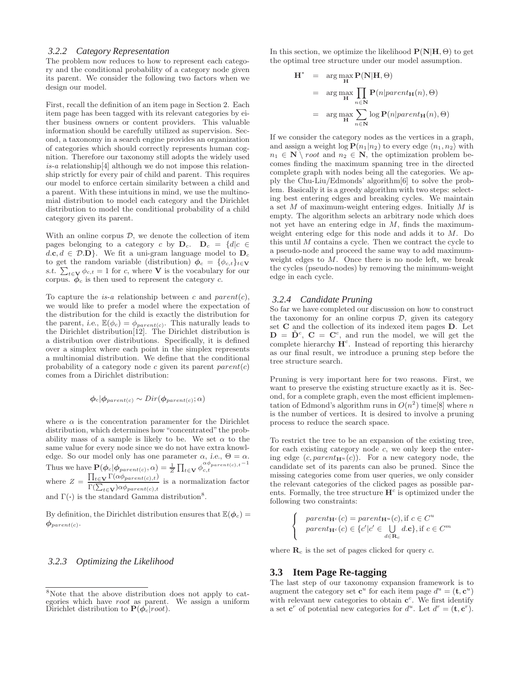#### *3.2.2 Category Representation*

The problem now reduces to how to represent each category and the conditional probability of a category node given its parent. We consider the following two factors when we design our model.

First, recall the definition of an item page in Section 2. Each item page has been tagged with its relevant categories by either business owners or content providers. This valuable information should be carefully utilized as supervision. Second, a taxonomy in a search engine provides an organization of categories which should correctly represents human cognition. Therefore our taxonomy still adopts the widely used  $is-a$  relationship<sup>[4]</sup> although we do not impose this relationship strictly for every pair of child and parent. This requires our model to enforce certain similarity between a child and a parent. With these intuitions in mind, we use the multinomial distribution to model each category and the Dirichlet distribution to model the conditional probability of a child category given its parent.

With an online corpus  $D$ , we denote the collection of item pages belonging to a category c by  $D_c$ .  $D_c = \{d|c \in$  $d.c, d \in \mathcal{D}.\mathbf{D}$ . We fit a uni-gram language model to  $\mathbf{D}_c$ to get the random variable (distribution)  $\phi_c = {\phi_{c,t}}_{t \in V}$ s.t.  $\sum_{t \in \mathbf{V}} \phi_{c,t} = 1$  for c, where **V** is the vocabulary for our corpus.  $\phi_c$  is then used to represent the category c.

To capture the *is-a* relationship between c and  $parent(c)$ , we would like to prefer a model where the expectation of the distribution for the child is exactly the distribution for the parent, i.e.,  $\mathbb{E}(\phi_c) = \phi_{parent(c)}$ . This naturally leads to the Dirichlet distribution[12]. The Dirichlet distribution is a distribution over distributions. Specifically, it is defined over a simplex where each point in the simplex represents a multinomial distribution. We define that the conditional probability of a category node c given its parent  $parent(c)$ comes from a Dirichlet distribution:

$$
\phi_c | \phi_{parent(c)} \sim Dir(\phi_{parent(c)}; \alpha)
$$

where  $\alpha$  is the concentration paramenter for the Dirichlet distribution, which determines how "concentrated" the probability mass of a sample is likely to be. We set  $\alpha$  to the same value for every node since we do not have extra knowledge. So our model only has one parameter  $\alpha$ , i.e.,  $\Theta = \alpha$ . Thus we have  $\mathbf{P}(\phi_c|\phi_{parent(c)}, \alpha) = \frac{1}{Z}\prod_{t \in \mathbf{V}} \phi_{c,t}^{\alpha\phi_{parent(c),t}-1}$ where  $Z = \frac{\prod_{t \in \mathbf{V}} \Gamma(\alpha \phi_{parent(c), t})}{\Gamma(\sum_{t \in \mathbf{V}} \Gamma(\alpha \phi_{parent(c), t}))}$  $\frac{\Gamma(\sum_{t \in \mathbf{V}} \Delta \langle \Delta \varphi_{parent}(c), t)}{\Gamma(\sum_{t \in \mathbf{V}}) \alpha \phi_{parent}(c), t}$  is a normalization factor and  $\Gamma(\cdot)$  is the standard Gamma distribution<sup>8</sup>.

By definition, the Dirichlet distribution ensures that  $\mathbb{E}(\phi_c)$  =  $\phi_{parent(c)}$ .

#### *3.2.3 Optimizing the Likelihood*

In this section, we optimize the likelihood  $\mathbf{P}(\mathbf{N}|\mathbf{H},\Theta)$  to get the optimal tree structure under our model assumption.

$$
\mathbf{H}^* = \arg \max_{\mathbf{H}} \mathbf{P}(\mathbf{N}|\mathbf{H}, \Theta)
$$
  
= 
$$
\arg \max_{\mathbf{H}} \prod_{n \in \mathbf{N}} \mathbf{P}(n|parent_{\mathbf{H}}(n), \Theta)
$$
  
= 
$$
\arg \max_{\mathbf{H}} \sum_{n \in \mathbf{N}} \log \mathbf{P}(n|parent_{\mathbf{H}}(n), \Theta)
$$

If we consider the category nodes as the vertices in a graph, and assign a weight  $\log P(n_1|n_2)$  to every edge  $\langle n_1, n_2 \rangle$  with  $n_1 \in \mathbb{N} \setminus root$  and  $n_2 \in \mathbb{N}$ , the optimization problem becomes finding the maximum spanning tree in the directed complete graph with nodes being all the categories. We apply the Chu-Liu/Edmonds' algorithm[6] to solve the problem. Basically it is a greedy algorithm with two steps: selecting best entering edges and breaking cycles. We maintain a set  $M$  of maximum-weight entering edges. Initially  $M$  is empty. The algorithm selects an arbitrary node which does not yet have an entering edge in  $M$ , finds the maximumweight entering edge for this node and adds it to M. Do this until  $M$  contains a cycle. Then we contract the cycle to a pseudo-node and proceed the same way to add maximumweight edges to  $M$ . Once there is no node left, we break the cycles (pseudo-nodes) by removing the minimum-weight edge in each cycle.

#### *3.2.4 Candidate Pruning*

So far we have completed our discussion on how to construct the taxonomy for an online corpus  $D$ , given its category set C and the collection of its indexed item pages D. Let  $\mathbf{D} = \tilde{\mathbf{D}}^c$ ,  $\mathbf{C} = \mathbf{C}^c$ , and run the model, we will get the complete hierarchy  $H<sup>c</sup>$ . Instead of reporting this hierarchy as our final result, we introduce a pruning step before the tree structure search.

Pruning is very important here for two reasons. First, we want to preserve the existing structure exactly as it is. Second, for a complete graph, even the most efficient implementation of Edmond's algorithm runs in  $O(n^2)$  time[8] where n is the number of vertices. It is desired to involve a pruning process to reduce the search space.

To restrict the tree to be an expansion of the existing tree, for each existing category node  $c$ , we only keep the entering edge  $(c, parent_{\mathbf{H}^u}(c))$ . For a new category node, the candidate set of its parents can also be pruned. Since the missing categories come from user queries, we only consider the relevant categories of the clicked pages as possible parents. Formally, the tree structure  $\mathbf{H}^c$  is optimized under the following two constraints:

$$
parent_{\mathbf{H}^c}(c) = parent_{\mathbf{H}^u}(c), \text{if } c \in C^u
$$

$$
parent_{\mathbf{H}^c}(c) \in \{c'|c' \in \bigcup_{d \in \mathbf{R}_c} d.c\}, \text{if } c \in C^m
$$

where  $\mathbf{R}_c$  is the set of pages clicked for query c.

#### **3.3 Item Page Re-tagging**

 $\sqrt{ }$ J  $\mathcal{L}$ 

The last step of our taxonomy expansion framework is to augment the category set  $\mathbf{c}^u$  for each item page  $d^u = (\mathbf{t}, \mathbf{c}^u)$ with relevant new categories to obtain  $\mathbf{c}^c$ . We first identify a set  $\mathbf{c}^r$  of potential new categories for  $d^u$ . Let  $d^r = (\mathbf{t}, \mathbf{c}^r)$ .

<sup>8</sup>Note that the above distribution does not apply to categories which have root as parent. We assign a uniform Dirichlet distribution to  $\mathbf{P}(\hat{\phi_c}|root)$ .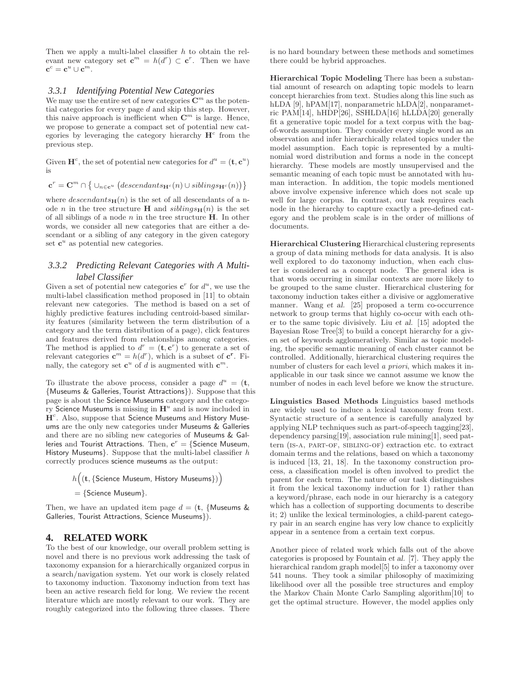Then we apply a multi-label classifier  $h$  to obtain the relevant new category set  $\mathbf{c}^m = h(d^r) \subset \mathbf{c}^r$ . Then we have  $\mathbf{c}^c = \mathbf{c}^u \cup \mathbf{c}^m.$ 

### *3.3.1 Identifying Potential New Categories*

We may use the entire set of new categories  $\mathbb{C}^m$  as the potential categories for every page  $d$  and skip this step. However, this naive approach is inefficient when  $\mathbb{C}^m$  is large. Hence, we propose to generate a compact set of potential new categories by leveraging the category hierarchy  $H<sup>c</sup>$  from the previous step.

Given  $\mathbf{H}^c$ , the set of potential new categories for  $d^u = (\mathbf{t}, \mathbf{c}^u)$ is

$$
\mathbf{c}^r = \mathbf{C}^m \cap \{ \cup_{n \in \mathbf{c}^u} (descendants_{\mathbf{H}^c}(n) \cup siblings_{\mathbf{H}^c}(n)) \}
$$

where  $descendants_{\mathbf{H}}(n)$  is the set of all descendants of a node *n* in the tree structure **H** and  $sibling<sub>H</sub>(n)$  is the set of all siblings of a node  $n$  in the tree structure  $H$ . In other words, we consider all new categories that are either a descendant or a sibling of any category in the given category set  $\mathbf{c}^u$  as potential new categories.

### *3.3.2 Predicting Relevant Categories with A Multilabel Classifier*

Given a set of potential new categories  $\mathbf{c}^r$  for  $d^u$ , we use the multi-label classification method proposed in [11] to obtain relevant new categories. The method is based on a set of highly predictive features including centroid-based similarity features (similarity between the term distribution of a category and the term distribution of a page), click features and features derived from relationships among categories. The method is applied to  $d^r = (\mathbf{t}, \mathbf{c}^r)$  to generate a set of relevant categories  $\mathbf{c}^m = h(d^r)$ , which is a subset of  $\mathbf{c}^r$ . Finally, the category set  $\mathbf{c}^u$  of d is augmented with  $\mathbf{c}^m$ .

To illustrate the above process, consider a page  $d^u = (\mathbf{t},$ {Museums & Galleries, Tourist Attractions}). Suppose that this page is about the Science Museums category and the category Science Museums is missing in  $\mathbf{H}^u$  and is now included in  $H<sup>c</sup>$ . Also, suppose that Science Museums and History Museums are the only new categories under Museums & Galleries and there are no sibling new categories of Museums & Galleries and Tourist Attractions. Then,  $\mathbf{c}^r = \{\textsf{Science Museum}, \}$ History Museums}. Suppose that the multi-label classifier h correctly produces science museums as the output:

> $h\big((\mathbf{t}, \{\mathsf{Science}\ \mathsf{Museum},\ \mathsf{History}\ \mathsf{Museums}\})\big)$  $=$  {Science Museum}.

Then, we have an updated item page  $d = (\mathbf{t}, \{\text{Museums } \& \})$ Galleries, Tourist Attractions, Science Museums}).

### **4. RELATED WORK**

To the best of our knowledge, our overall problem setting is novel and there is no previous work addressing the task of taxonomy expansion for a hierarchically organized corpus in a search/navigation system. Yet our work is closely related to taxonomy induction. Taxonomy induction from text has been an active research field for long. We review the recent literature which are mostly relevant to our work. They are roughly categorized into the following three classes. There

is no hard boundary between these methods and sometimes there could be hybrid approaches.

Hierarchical Topic Modeling There has been a substantial amount of research on adapting topic models to learn concept hierarchies from text. Studies along this line such as hLDA [9], hPAM[17], nonparametric hLDA[2], nonparametric PAM[14], hHDP[26], SSHLDA[16] hLLDA[20] generally fit a generative topic model for a text corpus with the bagof-words assumption. They consider every single word as an observation and infer hierarchically related topics under the model assumption. Each topic is represented by a multinomial word distribution and forms a node in the concept hierarchy. These models are mostly unsupervised and the semantic meaning of each topic must be annotated with human interaction. In addition, the topic models mentioned above involve expensive inference which does not scale up well for large corpus. In contrast, our task requires each node in the hierarchy to capture exactly a pre-defined category and the problem scale is in the order of millions of documents.

Hierarchical Clustering Hierarchical clustering represents a group of data mining methods for data analysis. It is also well explored to do taxonomy induction, when each cluster is considered as a concept node. The general idea is that words occurring in similar contexts are more likely to be grouped to the same cluster. Hierarchical clustering for taxonomy induction takes either a divisive or agglomerative manner. Wang et al. [25] proposed a term co-occurrence network to group terms that highly co-occur with each other to the same topic divisively. Liu et al. [15] adopted the Bayesian Rose Tree[3] to build a concept hierarchy for a given set of keywords agglomeratively. Similar as topic modeling, the specific semantic meaning of each cluster cannot be controlled. Additionally, hierarchical clustering requires the number of clusters for each level a priori, which makes it inapplicable in our task since we cannot assume we know the number of nodes in each level before we know the structure.

Linguistics Based Methods Linguistics based methods are widely used to induce a lexical taxonomy from text. Syntactic structure of a sentence is carefully analyzed by applying NLP techniques such as part-of-speech tagging[23], dependency parsing[19], association rule mining[1], seed pattern (is-a, part-of, sibling-of) extraction etc. to extract domain terms and the relations, based on which a taxonomy is induced [13, 21, 18]. In the taxonomy construction process, a classification model is often involved to predict the parent for each term. The nature of our task distinguishes it from the lexical taxonomy induction for 1) rather than a keyword/phrase, each node in our hierarchy is a category which has a collection of supporting documents to describe it; 2) unlike the lexical terminologies, a child-parent category pair in an search engine has very low chance to explicitly appear in a sentence from a certain text corpus.

Another piece of related work which falls out of the above categories is proposed by Fountain et al. [7]. They apply the hierarchical random graph model<sup>[5]</sup> to infer a taxonomy over 541 nouns. They took a similar philosophy of maximizing likelihood over all the possible tree structures and employ the Markov Chain Monte Carlo Sampling algorithm[10] to get the optimal structure. However, the model applies only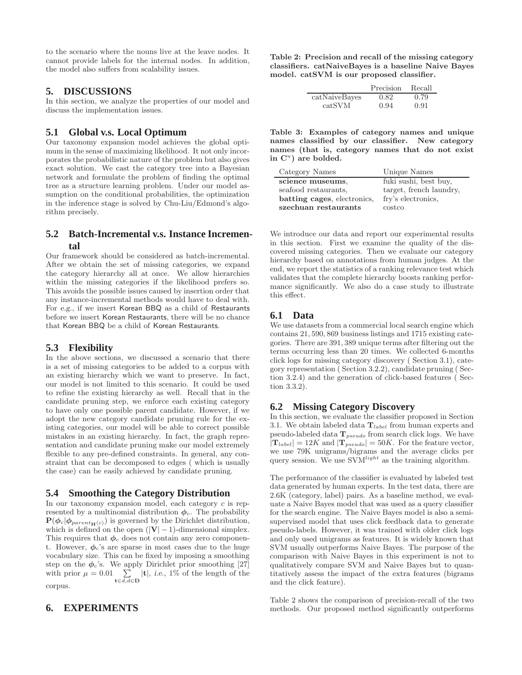to the scenario where the nouns live at the leave nodes. It cannot provide labels for the internal nodes. In addition, the model also suffers from scalability issues.

### **5. DISCUSSIONS**

In this section, we analyze the properties of our model and discuss the implementation issues.

# **5.1 Global v.s. Local Optimum**

Our taxonomy expansion model achieves the global optimum in the sense of maximizing likelihood. It not only incorporates the probabilistic nature of the problem but also gives exact solution. We cast the category tree into a Bayesian network and formulate the problem of finding the optimal tree as a structure learning problem. Under our model assumption on the conditional probabilities, the optimization in the inference stage is solved by Chu-Liu/Edmond's algorithm precisely.

# **5.2 Batch-Incremental v.s. Instance Incremental**

Our framework should be considered as batch-incremental. After we obtain the set of missing categories, we expand the category hierarchy all at once. We allow hierarchies within the missing categories if the likelihood prefers so. This avoids the possible issues caused by insertion order that any instance-incremental methods would have to deal with. For e.g., if we insert Korean BBQ as a child of Restaurants before we insert Korean Restaurants, there will be no chance that Korean BBQ be a child of Korean Restaurants.

# **5.3 Flexibility**

In the above sections, we discussed a scenario that there is a set of missing categories to be added to a corpus with an existing hierarchy which we want to preserve. In fact, our model is not limited to this scenario. It could be used to refine the existing hierarchy as well. Recall that in the candidate pruning step, we enforce each existing category to have only one possible parent candidate. However, if we adopt the new category candidate pruning rule for the existing categories, our model will be able to correct possible mistakes in an existing hierarchy. In fact, the graph representation and candidate pruning make our model extremely flexible to any pre-defined constraints. In general, any constraint that can be decomposed to edges ( which is usually the case) can be easily achieved by candidate pruning.

# **5.4 Smoothing the Category Distribution**

In our taxonomy expansion model, each category  $c$  is represented by a multinomial distribution  $\phi_c$ . The probability  $P(\phi_c|\phi_{parent_{\mathbf{H}}(c)})$  is governed by the Dirichlet distribution, which is defined on the open  $(|V| - 1)$ -dimensional simplex. This requires that  $\phi_c$  does not contain any zero component. However,  $\phi_c$ 's are sparse in most cases due to the huge vocabulary size. This can be fixed by imposing a smoothing step on the  $\phi_c$ 's. We apply Dirichlet prior smoothing [27] with prior  $\mu = 0.01 \sum_{\mathbf{t} \in d, d \in \mathbf{D}} |\mathbf{t}|$ , i.e., 1% of the length of the corpus.

# **6. EXPERIMENTS**

Table 2: Precision and recall of the missing category classifiers. catNaiveBayes is a baseline Naive Bayes model. catSVM is our proposed classifier.

|               | Precision | Recall |
|---------------|-----------|--------|
| catNaiveBayes | 0.82      | 0.79   |
| catSVM        | 0.94      | 0.91   |

Table 3: Examples of category names and unique names classified by our classifier. New category names (that is, category names that do not exist in  $\mathbb{C}^u$ ) are bolded.

| Category Names              | Unique Names            |
|-----------------------------|-------------------------|
| science museums,            | fuki sushi, best buy,   |
| seafood restaurants.        | target, french laundry, |
| batting cages, electronics, | fry's electronics,      |
| szechuan restaurants        | costco                  |

We introduce our data and report our experimental results in this section. First we examine the quality of the discovered missing categories. Then we evaluate our category hierarchy based on annotations from human judges. At the end, we report the statistics of a ranking relevance test which validates that the complete hierarchy boosts ranking performance significantly. We also do a case study to illustrate this effect.

# **6.1 Data**

We use datasets from a commercial local search engine which contains 21, 590, 869 business listings and 1715 existing categories. There are 391, 389 unique terms after filtering out the terms occurring less than 20 times. We collected 6-months click logs for missing category discovery ( Section 3.1), category representation ( Section 3.2.2), candidate pruning ( Section 3.2.4) and the generation of click-based features ( Section 3.3.2).

### **6.2 Missing Category Discovery**

In this section, we evaluate the classifier proposed in Section 3.1. We obtain labeled data  $T_{label}$  from human experts and pseudo-labeled data  $T_{pseudo}$  from search click logs. We have  $|\mathbf{T}_{label}| = 12K$  and  $|\mathbf{T}_{pseudo}| = 50K$ . For the feature vector, we use 79K unigrams/bigrams and the average clicks per query session. We use  $\widetilde{\mathrm{SVM}}^{light}$  as the training algorithm.

The performance of the classifier is evaluated by labeled test data generated by human experts. In the test data, there are 2.6K (category, label) pairs. As a baseline method, we evaluate a Naive Bayes model that was used as a query classifier for the search engine. The Naive Bayes model is also a semisupervised model that uses click feedback data to generate pseudo-labels. However, it was trained with older click logs and only used unigrams as features. It is widely known that SVM usually outperforms Naive Bayes. The purpose of the comparison with Naive Bayes in this experiment is not to qualitatively compare SVM and Naive Bayes but to quantitatively assess the impact of the extra features (bigrams and the click feature).

Table 2 shows the comparison of precision-recall of the two methods. Our proposed method significantly outperforms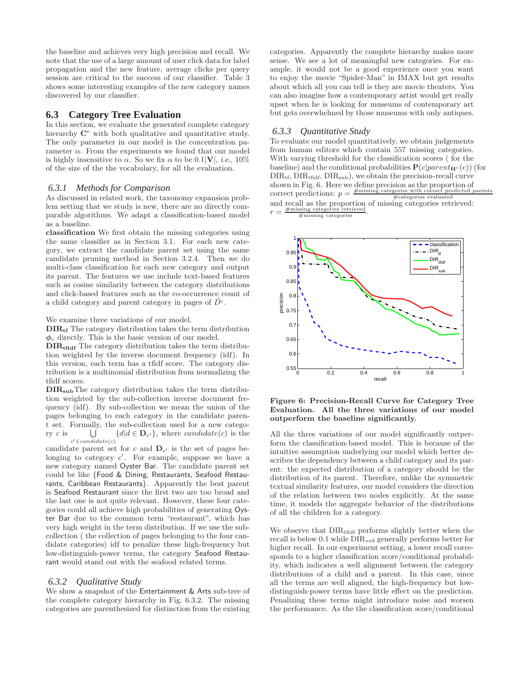the baseline and achieves very high precision and recall. We note that the use of a large amount of user click data for label propagation and the new feature, average clicks per query session are critical to the success of our classifier. Table 3 shows some interesting examples of the new category names discovered by our classifier.

### **6.3 Category Tree Evaluation**

In this section, we evaluate the generated complete category hierarchy  $\mathbf{C}^c$  with both qualitative and quantitative study. The only parameter in our model is the concentration parameter  $\alpha$ . From the experiments we found that our model is highly insensitive to  $\alpha$ . So we fix  $\alpha$  to be 0.1|**V**|, *i.e.*, 10% of the size of the the vocabulary, for all the evaluation.

#### *6.3.1 Methods for Comparison*

As discussed in related work, the taxonomy expansion problem setting that we study is new, there are no directly comparable algorithms. We adapt a classification-based model as a baseline.

classification We first obtain the missing categories using the same classifier as in Section 3.1. For each new category, we extract the candidate parent set using the same candidate pruning method in Section 3.2.4. Then we do multi-class classification for each new category and output its parent. The features we use include text-based features such as cosine similarity between the category distributions and click-based features such as the co-occurrence count of a child category and parent category in pages of  $\tilde{D}^c$ .

We examine three variations of our model.

 $\text{DIR}_{\text{tf}}$  The category distribution takes the term distribution  $\phi_c$  directly. This is the basic version of our model.

 $\text{DIR}_{\text{tfidf}}$  The category distribution takes the term distribution weighted by the inverse document frequency (idf). In this version, each term has a tfidf score. The category distribution is a multinomial distribution from normalizing the tfidf scores.

DIR<sub>sub</sub>The category distribution takes the term distribution weighted by the sub-collection inverse document frequency (idf). By sub-collection we mean the union of the pages belonging to each category in the candidate parent set. Formally, the sub-collection used for a new category  $c$  is  $\bigcup$  $c' \in candidate(c)$  ${d | d \in \mathbf{D}_{c'}},$  where candidate(c) is the

candidate parent set for c and  $\mathbf{D}_{c'}$  is the set of pages belonging to category c'. For example, suppose we have a new category named Oyster Bar. The candidate parent set could be like {Food & Dining, Restaurants, Seafood Restaurants, Caribbean Restaurants}. Apparently the best parent is Seafood Restaurant since the first two are too broad and the last one is not quite relevant. However, these four categories could all achieve high probabilities of generating Oyster Bar due to the common term "restaurant", which has very high weight in the term distribution. If we use the subcollection ( the collection of pages belonging to the four candidate categories) idf to penalize these high-frequency but low-distinguish-power terms, the category Seafood Restaurant would stand out with the seafood related terms.

#### *6.3.2 Qualitative Study*

We show a snapshot of the Entertainment & Arts sub-tree of the complete category hierarchy in Fig. 6.3.2. The missing categories are parenthesized for distinction from the existing categories. Apparently the complete hierarchy makes more sense. We see a lot of meaningful new categories. For example, it would not be a good experience once you want to enjoy the movie "Spider-Man" in IMAX but get results about which all you can tell is they are movie theaters. You can also imagine how a contemporary artist would get really upset when he is looking for museums of contemporary art but gets overwhelmed by those museums with only antiques.

### *6.3.3 Quantitative Study*

To evaluate our model quantitatively, we obtain judgements from human editors which contain 557 missing categories. With varying threshold for the classification scores ( for the baseline) and the conditional probabilities  $P(c|parent_{H^c}(c))$  (for  $DIR<sub>tf</sub>, DIR<sub>tfidf</sub>, DIR<sub>sub</sub>$ , we obtain the precision-recall curve shown in Fig. 6. Here we define precision as the proportion of correct predictions:  $p = \frac{\text{\#missing categories with correct predicted parents}}{\text{\#categories evaluated}}$ #categories evaluated and recall as the proportion of missing categories retrieved:  $r = \frac{\text{\#missing categories retrieved}}{\text{\#missing categories}}.$ 



Figure 6: Precision-Recall Curve for Category Tree Evaluation. All the three variations of our model outperform the baseline significantly.

All the three variations of our model significantly outperform the classification-based model. This is because of the intuitive assumption underlying our model which better describes the dependency between a child category and its parent: the expected distribution of a category should be the distribution of its parent. Therefore, unlike the symmetric textual similarity features, our model considers the direction of the relation between two nodes explicitly. At the same time, it models the aggregate behavior of the distributions of all the children for a category.

We observe that  $DIR<sub>tfidf</sub>$  performs slightly better when the recall is below 0.1 while  $\text{DIR}_{sub}$  generally performs better for higher recall. In our experiment setting, a lower recall corresponds to a higher classification score/conditional probability, which indicates a well alignment between the category distributions of a child and a parent. In this case, since all the terms are well aligned, the high-frequency but lowdistinguish-power terms have little effect on the prediction. Penalizing these terms might introduce noise and worsen the performance. As the the classification score/conditional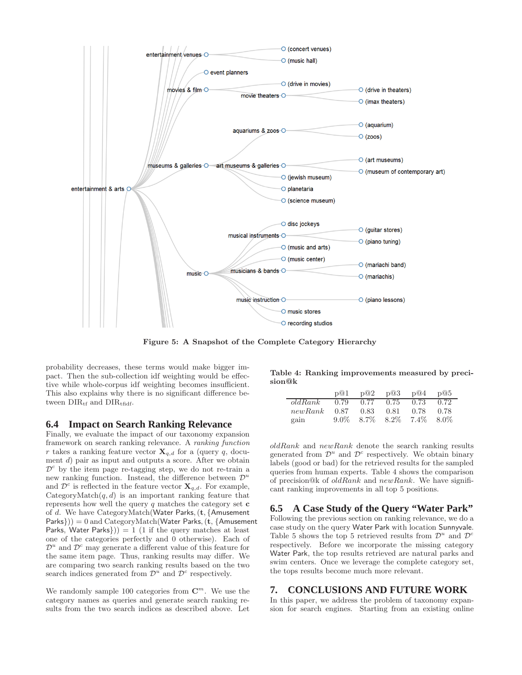

Figure 5: A Snapshot of the Complete Category Hierarchy

probability decreases, these terms would make bigger impact. Then the sub-collection idf weighting would be effective while whole-corpus idf weighting becomes insufficient. This also explains why there is no significant difference between  $DIR<sub>tf</sub>$  and  $DIR<sub>tfidf</sub>$ .

#### **6.4 Impact on Search Ranking Relevance**

Finally, we evaluate the impact of our taxonomy expansion framework on search ranking relevance. A ranking function r takes a ranking feature vector  $\mathbf{X}_{q,d}$  for a (query q, document d) pair as input and outputs a score. After we obtain  $\mathcal{D}^c$  by the item page re-tagging step, we do not re-train a new ranking function. Instead, the difference between  $\mathcal{D}^u$ and  $\mathcal{D}^c$  is reflected in the feature vector  $\mathbf{X}_{q,d}$ . For example, CategoryMatch $(q, d)$  is an important ranking feature that represents how well the query  $q$  matches the category set  $c$ of d. We have CategoryMatch(Water Parks,(t, {Amusement  $\text{Parks}$ )) = 0 and CategoryMatch(Water Parks, (t, {Amusement Parks, Water Parks $)$ ) = 1 (1 if the query matches at least one of the categories perfectly and 0 otherwise). Each of  $\mathcal{D}^u$  and  $\mathcal{D}^c$  may generate a different value of this feature for the same item page. Thus, ranking results may differ. We are comparing two search ranking results based on the two search indices generated from  $\mathcal{D}^u$  and  $\mathcal{D}^c$  respectively.

We randomly sample 100 categories from  $\mathbb{C}^m$ . We use the category names as queries and generate search ranking results from the two search indices as described above. Let

Table 4: Ranking improvements measured by precision@k

|         | p(0)    | p@2  | p@3  | p@4               | p@5  |
|---------|---------|------|------|-------------------|------|
| oldRank | 0.79    | 0.77 | 0.75 | 0.73              | 0.72 |
| newRank | 0.87    | 0.83 | 0.81 | 0.78              | 0.78 |
| gain    | $9.0\%$ |      |      | 8.7\% 8.2\% 7.4\% | 8.0% |

 $oldRank$  and  $newRank$  denote the search ranking results generated from  $\mathcal{D}^u$  and  $\mathcal{D}^c$  respectively. We obtain binary labels (good or bad) for the retrieved results for the sampled queries from human experts. Table 4 shows the comparison of precision@k of  $oldRank$  and  $newRank$ . We have significant ranking improvements in all top 5 positions.

### **6.5 A Case Study of the Query "Water Park"**

Following the previous section on ranking relevance, we do a case study on the query Water Park with location Sunnyvale. Table 5 shows the top 5 retrieved results from  $\mathcal{D}^u$  and  $\mathcal{D}^c$ respectively. Before we incorporate the missing category Water Park, the top results retrieved are natural parks and swim centers. Once we leverage the complete category set, the tops results become much more relevant.

### **7. CONCLUSIONS AND FUTURE WORK**

In this paper, we address the problem of taxonomy expansion for search engines. Starting from an existing online